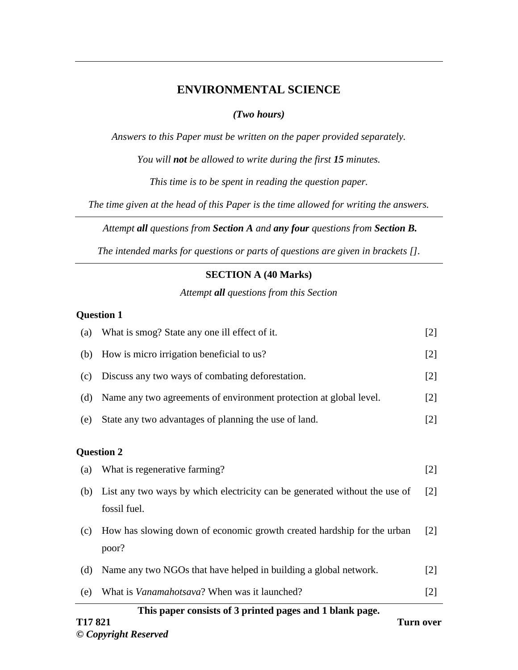## **ENVIRONMENTAL SCIENCE**

### *(Two hours)*

*Answers to this Paper must be written on the paper provided separately.* 

*You will not be allowed to write during the first 15 minutes.* 

*This time is to be spent in reading the question paper.*

*The time given at the head of this Paper is the time allowed for writing the answers.*

*Attempt all questions from Section A and any four questions from Section B.* 

*The intended marks for questions or parts of questions are given in brackets [].*

### **SECTION A (40 Marks)**

*Attempt all questions from this Section*

#### **Question 1**

| This paper consists of 3 printed pages and 1 blank page. |                                                                                            |                   |  |
|----------------------------------------------------------|--------------------------------------------------------------------------------------------|-------------------|--|
| (e)                                                      | What is <i>Vanamahotsava</i> ? When was it launched?                                       | [2]               |  |
| (d)                                                      | Name any two NGOs that have helped in building a global network.                           | $[2]$             |  |
| (c)                                                      | How has slowing down of economic growth created hardship for the urban<br>poor?            | $\lceil 2 \rceil$ |  |
| (b)                                                      | List any two ways by which electricity can be generated without the use of<br>fossil fuel. | $\lceil 2 \rceil$ |  |
| (a)                                                      | What is regenerative farming?                                                              | $[2]$             |  |
| <b>Question 2</b>                                        |                                                                                            |                   |  |
| (e)                                                      | State any two advantages of planning the use of land.                                      | $[2]$             |  |
| (d)                                                      | Name any two agreements of environment protection at global level.                         | $[2]$             |  |
| (c)                                                      | Discuss any two ways of combating deforestation.                                           | $[2]$             |  |
| (b)                                                      | How is micro irrigation beneficial to us?                                                  | $[2]$             |  |
| (a)                                                      | What is smog? State any one ill effect of it.                                              | $[2]$             |  |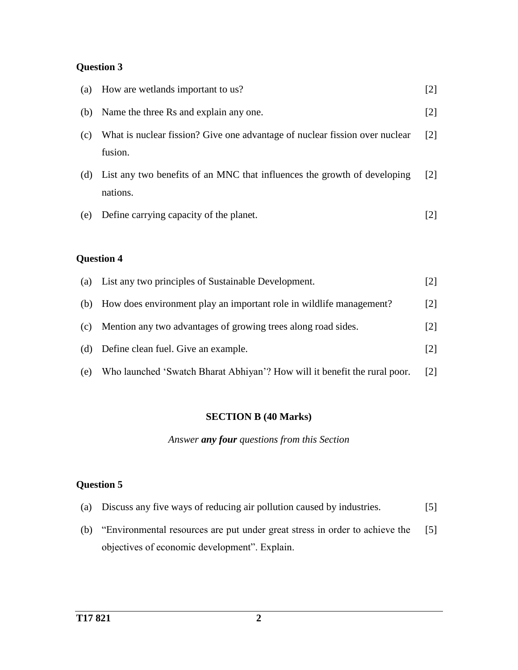# **Question 3**

| (a) | How are wetlands important to us?                                                      | $[2]$             |
|-----|----------------------------------------------------------------------------------------|-------------------|
| (b) | Name the three Rs and explain any one.                                                 | $\lceil 2 \rceil$ |
| (c) | What is nuclear fission? Give one advantage of nuclear fission over nuclear<br>fusion. | $\lceil 2 \rceil$ |
| (d) | List any two benefits of an MNC that influences the growth of developing<br>nations.   | $\lceil 2 \rceil$ |
| (e) | Define carrying capacity of the planet.                                                | 12 I              |

## **Question 4**

| (a) | List any two principles of Sustainable Development.                       | $\lceil 2 \rceil$ |
|-----|---------------------------------------------------------------------------|-------------------|
| (b) | How does environment play an important role in wildlife management?       | $\lceil 2 \rceil$ |
| (c) | Mention any two advantages of growing trees along road sides.             | $\lceil 2 \rceil$ |
| (d) | Define clean fuel. Give an example.                                       | $\lceil 2 \rceil$ |
| (e) | Who launched 'Swatch Bharat Abhiyan'? How will it benefit the rural poor. | $\lceil 2 \rceil$ |

# **SECTION B (40 Marks)**

*Answer any four questions from this Section*

## **Question 5**

|  | (a) Discuss any five ways of reducing air pollution caused by industries. | [5] |
|--|---------------------------------------------------------------------------|-----|
|  |                                                                           |     |

(b) "Environmental resources are put under great stress in order to achieve the objectives of economic development". Explain. [5]